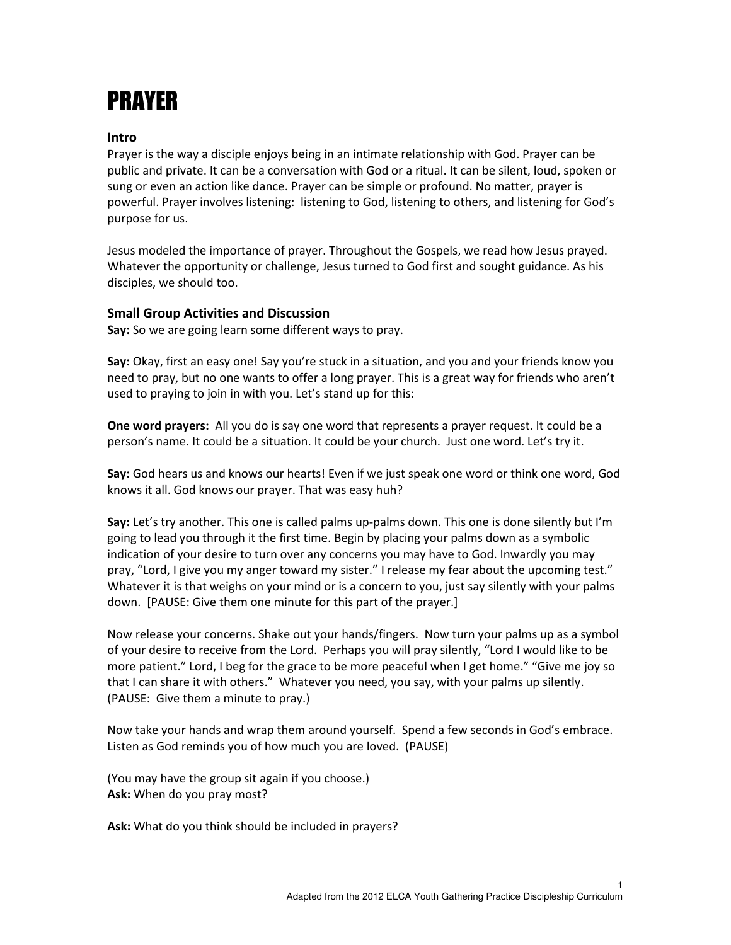## PRAYER

## Intro

Prayer is the way a disciple enjoys being in an intimate relationship with God. Prayer can be public and private. It can be a conversation with God or a ritual. It can be silent, loud, spoken or sung or even an action like dance. Prayer can be simple or profound. No matter, prayer is powerful. Prayer involves listening: listening to God, listening to others, and listening for God's purpose for us.

Jesus modeled the importance of prayer. Throughout the Gospels, we read how Jesus prayed. Whatever the opportunity or challenge, Jesus turned to God first and sought guidance. As his disciples, we should too.

## Small Group Activities and Discussion

Say: So we are going learn some different ways to pray.

Say: Okay, first an easy one! Say you're stuck in a situation, and you and your friends know you need to pray, but no one wants to offer a long prayer. This is a great way for friends who aren't used to praying to join in with you. Let's stand up for this:

One word prayers: All you do is say one word that represents a prayer request. It could be a person's name. It could be a situation. It could be your church. Just one word. Let's try it.

Say: God hears us and knows our hearts! Even if we just speak one word or think one word, God knows it all. God knows our prayer. That was easy huh?

Say: Let's try another. This one is called palms up-palms down. This one is done silently but I'm going to lead you through it the first time. Begin by placing your palms down as a symbolic indication of your desire to turn over any concerns you may have to God. Inwardly you may pray, "Lord, I give you my anger toward my sister." I release my fear about the upcoming test." Whatever it is that weighs on your mind or is a concern to you, just say silently with your palms down. [PAUSE: Give them one minute for this part of the prayer.]

Now release your concerns. Shake out your hands/fingers. Now turn your palms up as a symbol of your desire to receive from the Lord. Perhaps you will pray silently, "Lord I would like to be more patient." Lord, I beg for the grace to be more peaceful when I get home." "Give me joy so that I can share it with others." Whatever you need, you say, with your palms up silently. (PAUSE: Give them a minute to pray.)

Now take your hands and wrap them around yourself. Spend a few seconds in God's embrace. Listen as God reminds you of how much you are loved. (PAUSE)

(You may have the group sit again if you choose.) Ask: When do you pray most?

Ask: What do you think should be included in prayers?